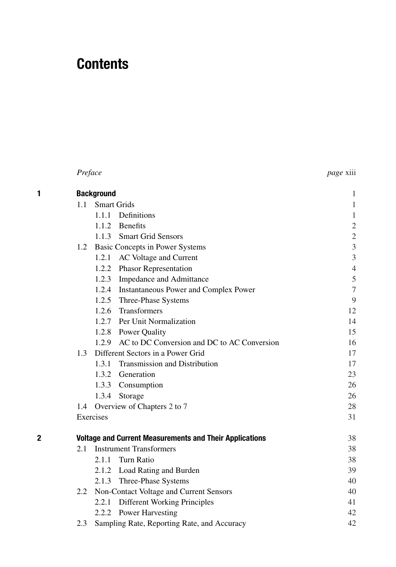## **Contents**

|   | Preface           | <i>page</i> xiii                                               |                |
|---|-------------------|----------------------------------------------------------------|----------------|
| 1 | <b>Background</b> | 1                                                              |                |
|   |                   | 1.1 Smart Grids                                                | $\mathbf{1}$   |
|   |                   | 1.1.1 Definitions                                              | $\mathbf{1}$   |
|   |                   | 1.1.2 Benefits                                                 | $\overline{c}$ |
|   |                   | 1.1.3 Smart Grid Sensors                                       | $\sqrt{2}$     |
|   |                   | 1.2 Basic Concepts in Power Systems                            | $\mathfrak{Z}$ |
|   |                   | 1.2.1<br>AC Voltage and Current                                | $\mathfrak{Z}$ |
|   |                   | 1.2.2 Phasor Representation                                    | $\overline{4}$ |
|   |                   | 1.2.3 Impedance and Admittance                                 | $\mathfrak s$  |
|   |                   | 1.2.4 Instantaneous Power and Complex Power                    | $\tau$         |
|   |                   | 1.2.5 Three-Phase Systems                                      | 9              |
|   |                   | 1.2.6 Transformers                                             | 12             |
|   |                   | 1.2.7 Per Unit Normalization                                   | 14             |
|   |                   | 1.2.8 Power Quality                                            | 15             |
|   |                   | 1.2.9 AC to DC Conversion and DC to AC Conversion              | 16             |
|   |                   | 1.3 Different Sectors in a Power Grid                          | 17             |
|   |                   | 1.3.1 Transmission and Distribution                            | 17             |
|   |                   | 1.3.2 Generation                                               | 23             |
|   |                   | 1.3.3 Consumption                                              | 26             |
|   |                   | 1.3.4 Storage                                                  | 26             |
|   | 1.4               | Overview of Chapters 2 to 7                                    | 28             |
|   |                   | Exercises                                                      | 31             |
| 2 |                   | <b>Voltage and Current Measurements and Their Applications</b> | 38             |
|   | 2.1               | <b>Instrument Transformers</b>                                 | 38             |
|   |                   | Turn Ratio<br>2.1.1                                            | 38             |
|   |                   | 2.1.2 Load Rating and Burden                                   | 39             |
|   |                   | 2.1.3 Three-Phase Systems                                      | 40             |
|   | 2.2               | Non-Contact Voltage and Current Sensors                        | 40             |
|   |                   | 2.2.1 Different Working Principles                             | 41             |
|   |                   | 2.2.2 Power Harvesting                                         | 42             |
|   | 2.3               | Sampling Rate, Reporting Rate, and Accuracy                    | 42             |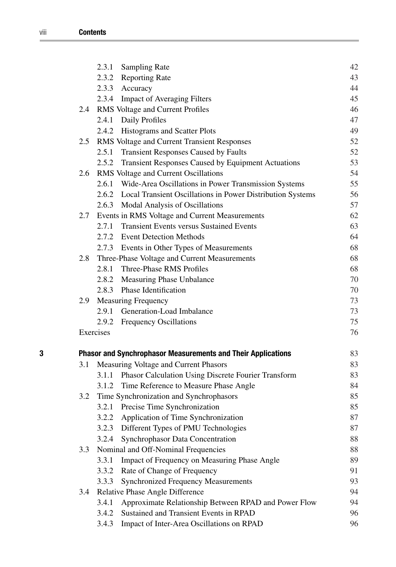|   |     | Sampling Rate<br>2.3.1                                              | 42 |
|---|-----|---------------------------------------------------------------------|----|
|   |     | 2.3.2 Reporting Rate                                                | 43 |
|   |     | 2.3.3 Accuracy                                                      | 44 |
|   |     | 2.3.4 Impact of Averaging Filters                                   | 45 |
|   | 2.4 | RMS Voltage and Current Profiles                                    | 46 |
|   |     | 2.4.1 Daily Profiles                                                | 47 |
|   |     | 2.4.2 Histograms and Scatter Plots                                  | 49 |
|   | 2.5 | RMS Voltage and Current Transient Responses                         | 52 |
|   |     | 2.5.1<br><b>Transient Responses Caused by Faults</b>                | 52 |
|   |     | 2.5.2 Transient Responses Caused by Equipment Actuations            | 53 |
|   |     | 2.6 RMS Voltage and Current Oscillations                            | 54 |
|   |     | 2.6.1 Wide-Area Oscillations in Power Transmission Systems          | 55 |
|   |     | 2.6.2 Local Transient Oscillations in Power Distribution Systems    | 56 |
|   |     | 2.6.3 Modal Analysis of Oscillations                                | 57 |
|   | 2.7 | Events in RMS Voltage and Current Measurements                      | 62 |
|   |     | 2.7.1 Transient Events versus Sustained Events                      | 63 |
|   |     | 2.7.2 Event Detection Methods                                       | 64 |
|   |     | 2.7.3 Events in Other Types of Measurements                         | 68 |
|   | 2.8 | Three-Phase Voltage and Current Measurements                        | 68 |
|   |     | 2.8.1 Three-Phase RMS Profiles                                      | 68 |
|   |     | 2.8.2 Measuring Phase Unbalance                                     | 70 |
|   |     | 2.8.3 Phase Identification                                          | 70 |
|   |     | 2.9 Measuring Frequency                                             | 73 |
|   |     | 2.9.1 Generation-Load Imbalance                                     | 73 |
|   |     | 2.9.2 Frequency Oscillations                                        | 75 |
|   |     | Exercises                                                           | 76 |
| 3 |     | <b>Phasor and Synchrophasor Measurements and Their Applications</b> | 83 |
|   | 3.1 | Measuring Voltage and Current Phasors                               | 83 |
|   |     | Phasor Calculation Using Discrete Fourier Transform<br>3.1.1        | 83 |
|   |     | 3.1.2 Time Reference to Measure Phase Angle                         | 84 |
|   |     | 3.2 Time Synchronization and Synchrophasors                         | 85 |
|   |     | 3.2.1 Precise Time Synchronization                                  | 85 |
|   |     | 3.2.2 Application of Time Synchronization                           | 87 |
|   |     | 3.2.3 Different Types of PMU Technologies                           | 87 |
|   |     | Synchrophasor Data Concentration<br>3.2.4                           | 88 |
|   | 3.3 | Nominal and Off-Nominal Frequencies                                 | 88 |
|   |     | Impact of Frequency on Measuring Phase Angle<br>3.3.1               | 89 |
|   |     | Rate of Change of Frequency<br>3.3.2                                | 91 |
|   |     | <b>Synchronized Frequency Measurements</b><br>3.3.3                 | 93 |
|   | 3.4 | Relative Phase Angle Difference                                     | 94 |
|   |     | Approximate Relationship Between RPAD and Power Flow<br>3.4.1       | 94 |
|   |     | Sustained and Transient Events in RPAD<br>3.4.2                     | 96 |
|   |     | Impact of Inter-Area Oscillations on RPAD<br>3.4.3                  | 96 |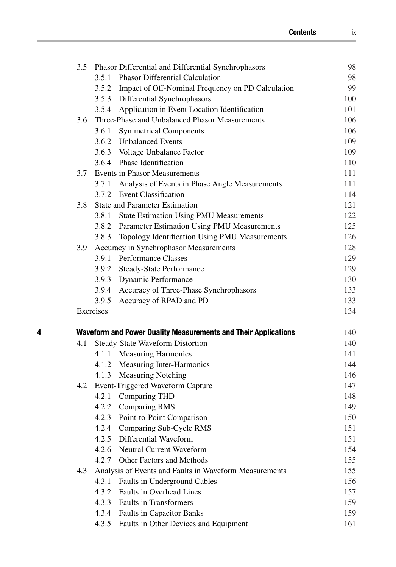|   | 3.5 |           | Phasor Differential and Differential Synchrophasors            | 98  |
|---|-----|-----------|----------------------------------------------------------------|-----|
|   |     |           | 3.5.1 Phasor Differential Calculation                          | 98  |
|   |     |           | 3.5.2 Impact of Off-Nominal Frequency on PD Calculation        | 99  |
|   |     |           | 3.5.3 Differential Synchrophasors                              | 100 |
|   |     |           | 3.5.4 Application in Event Location Identification             | 101 |
|   | 3.6 |           | Three-Phase and Unbalanced Phasor Measurements                 | 106 |
|   |     | 3.6.1     | <b>Symmetrical Components</b>                                  | 106 |
|   |     |           | 3.6.2 Unbalanced Events                                        | 109 |
|   |     |           | 3.6.3 Voltage Unbalance Factor                                 | 109 |
|   |     |           | 3.6.4 Phase Identification                                     | 110 |
|   |     |           | 3.7 Events in Phasor Measurements                              | 111 |
|   |     |           | 3.7.1 Analysis of Events in Phase Angle Measurements           | 111 |
|   |     |           | 3.7.2 Event Classification                                     | 114 |
|   | 3.8 |           | <b>State and Parameter Estimation</b>                          | 121 |
|   |     | 3.8.1     | <b>State Estimation Using PMU Measurements</b>                 | 122 |
|   |     |           | 3.8.2 Parameter Estimation Using PMU Measurements              | 125 |
|   |     |           | 3.8.3 Topology Identification Using PMU Measurements           | 126 |
|   |     |           | 3.9 Accuracy in Synchrophasor Measurements                     | 128 |
|   |     |           | 3.9.1 Performance Classes                                      | 129 |
|   |     |           | 3.9.2 Steady-State Performance                                 | 129 |
|   |     |           | 3.9.3 Dynamic Performance                                      | 130 |
|   |     |           | 3.9.4 Accuracy of Three-Phase Synchrophasors                   | 133 |
|   |     |           | 3.9.5 Accuracy of RPAD and PD                                  | 133 |
|   |     | Exercises |                                                                | 134 |
| 4 |     |           | Waveform and Power Quality Measurements and Their Applications | 140 |
|   | 4.1 |           | Steady-State Waveform Distortion                               | 140 |
|   |     |           | 4.1.1 Measuring Harmonics                                      | 141 |
|   |     |           | 4.1.2 Measuring Inter-Harmonics                                | 144 |
|   |     |           | 4.1.3 Measuring Notching                                       | 146 |
|   |     |           | 4.2 Event-Triggered Waveform Capture                           | 147 |
|   |     |           | 4.2.1 Comparing THD                                            | 148 |
|   |     |           | 4.2.2 Comparing RMS                                            | 149 |
|   |     |           | 4.2.3 Point-to-Point Comparison                                | 150 |
|   |     |           | 4.2.4 Comparing Sub-Cycle RMS                                  | 151 |
|   |     |           | 4.2.5 Differential Waveform                                    | 151 |
|   |     | 4.2.6     | <b>Neutral Current Waveform</b>                                | 154 |
|   |     | 4.2.7     | Other Factors and Methods                                      | 155 |
|   | 4.3 |           | Analysis of Events and Faults in Waveform Measurements         | 155 |
|   |     | 4.3.1     | Faults in Underground Cables                                   | 156 |
|   |     | 4.3.2     | Faults in Overhead Lines                                       | 157 |
|   |     | 4.3.3     | <b>Faults in Transformers</b>                                  | 159 |
|   |     | 4.3.4     | Faults in Capacitor Banks                                      | 159 |
|   |     | 4.3.5     | Faults in Other Devices and Equipment                          | 161 |
|   |     |           |                                                                |     |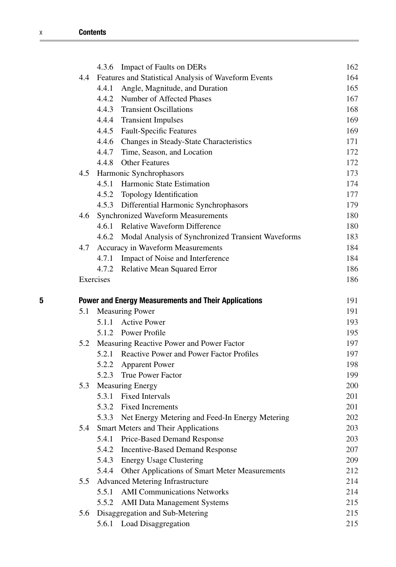|   |                                                             | 4.3.6     | <b>Impact of Faults on DERs</b>                          | 162 |
|---|-------------------------------------------------------------|-----------|----------------------------------------------------------|-----|
|   |                                                             |           | 4.4 Features and Statistical Analysis of Waveform Events | 164 |
|   |                                                             |           | 4.4.1 Angle, Magnitude, and Duration                     | 165 |
|   |                                                             |           | 4.4.2 Number of Affected Phases                          | 167 |
|   |                                                             |           | 4.4.3 Transient Oscillations                             | 168 |
|   |                                                             |           | 4.4.4 Transient Impulses                                 | 169 |
|   |                                                             |           | 4.4.5 Fault-Specific Features                            | 169 |
|   |                                                             |           | 4.4.6 Changes in Steady-State Characteristics            | 171 |
|   |                                                             |           | 4.4.7 Time, Season, and Location                         | 172 |
|   |                                                             |           | 4.4.8 Other Features                                     | 172 |
|   |                                                             |           | 4.5 Harmonic Synchrophasors                              | 173 |
|   |                                                             | 4.5.1     | Harmonic State Estimation                                | 174 |
|   |                                                             |           | 4.5.2 Topology Identification                            | 177 |
|   |                                                             |           | 4.5.3 Differential Harmonic Synchrophasors               | 179 |
|   |                                                             |           | 4.6 Synchronized Waveform Measurements                   | 180 |
|   |                                                             |           | 4.6.1 Relative Waveform Difference                       | 180 |
|   |                                                             |           | 4.6.2 Modal Analysis of Synchronized Transient Waveforms | 183 |
|   | 4.7                                                         |           | Accuracy in Waveform Measurements                        | 184 |
|   |                                                             | 4.7.1     | Impact of Noise and Interference                         | 184 |
|   |                                                             | 4.7.2     | Relative Mean Squared Error                              | 186 |
|   |                                                             | Exercises |                                                          | 186 |
| 5 | <b>Power and Energy Measurements and Their Applications</b> |           |                                                          | 191 |
|   | 5.1                                                         |           | <b>Measuring Power</b>                                   | 191 |
|   |                                                             | 5.1.1     | <b>Active Power</b>                                      | 193 |
|   |                                                             |           | 5.1.2 Power Profile                                      | 195 |
|   | 5.2                                                         |           | Measuring Reactive Power and Power Factor                | 197 |
|   |                                                             |           | 5.2.1 Reactive Power and Power Factor Profiles           | 197 |
|   |                                                             |           | 5.2.2 Apparent Power                                     | 198 |
|   |                                                             |           | 5.2.3 True Power Factor                                  | 199 |
|   | 5.3                                                         |           | <b>Measuring Energy</b>                                  | 200 |
|   |                                                             |           | 5.3.1 Fixed Intervals                                    | 201 |
|   |                                                             |           | 5.3.2 Fixed Increments                                   | 201 |
|   |                                                             |           | 5.3.3 Net Energy Metering and Feed-In Energy Metering    | 202 |
|   | 5.4                                                         |           | Smart Meters and Their Applications                      | 203 |
|   |                                                             | 5.4.1     | Price-Based Demand Response                              | 203 |
|   |                                                             | 5.4.2     | <b>Incentive-Based Demand Response</b>                   | 207 |
|   |                                                             | 5.4.3     | <b>Energy Usage Clustering</b>                           | 209 |
|   |                                                             | 5.4.4     | Other Applications of Smart Meter Measurements           | 212 |
|   | 5.5                                                         |           | Advanced Metering Infrastructure                         | 214 |
|   |                                                             | 5.5.1     | <b>AMI Communications Networks</b>                       | 214 |
|   |                                                             | 5.5.2     | <b>AMI Data Management Systems</b>                       | 215 |
|   | 5.6                                                         |           | Disaggregation and Sub-Metering                          | 215 |
|   |                                                             |           | 5.6.1 Load Disaggregation                                | 215 |
|   |                                                             |           |                                                          |     |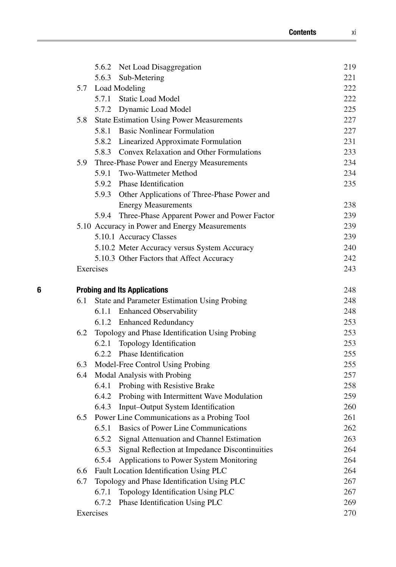|   |                                     | 5.6.2 Net Load Disaggregation                           | 219 |
|---|-------------------------------------|---------------------------------------------------------|-----|
|   |                                     | 5.6.3 Sub-Metering                                      | 221 |
|   |                                     | 5.7 Load Modeling                                       | 222 |
|   |                                     | 5.7.1 Static Load Model                                 | 222 |
|   |                                     | 5.7.2 Dynamic Load Model                                | 225 |
|   | 5.8                                 | <b>State Estimation Using Power Measurements</b>        | 227 |
|   |                                     | 5.8.1 Basic Nonlinear Formulation                       | 227 |
|   |                                     | 5.8.2 Linearized Approximate Formulation                | 231 |
|   |                                     | 5.8.3 Convex Relaxation and Other Formulations          | 233 |
|   | 5.9                                 | Three-Phase Power and Energy Measurements               | 234 |
|   |                                     | 5.9.1 Two-Wattmeter Method                              | 234 |
|   |                                     | 5.9.2 Phase Identification                              | 235 |
|   |                                     | 5.9.3 Other Applications of Three-Phase Power and       |     |
|   |                                     | <b>Energy Measurements</b>                              | 238 |
|   |                                     | 5.9.4 Three-Phase Apparent Power and Power Factor       | 239 |
|   |                                     | 5.10 Accuracy in Power and Energy Measurements          | 239 |
|   |                                     | 5.10.1 Accuracy Classes                                 | 239 |
|   |                                     | 5.10.2 Meter Accuracy versus System Accuracy            | 240 |
|   |                                     | 5.10.3 Other Factors that Affect Accuracy               | 242 |
|   |                                     | Exercises                                               | 243 |
| 6 | <b>Probing and Its Applications</b> |                                                         |     |
|   | 6.1                                 | State and Parameter Estimation Using Probing            | 248 |
|   |                                     | 6.1.1 Enhanced Observability                            | 248 |
|   |                                     | 6.1.2 Enhanced Redundancy                               | 253 |
|   |                                     | 6.2 Topology and Phase Identification Using Probing     | 253 |
|   |                                     | 6.2.1 Topology Identification                           | 253 |
|   |                                     | 6.2.2 Phase Identification                              | 255 |
|   |                                     | 6.3 Model-Free Control Using Probing                    | 255 |
|   | 6.4                                 | Modal Analysis with Probing                             | 257 |
|   |                                     | 6.4.1 Probing with Resistive Brake                      | 258 |
|   |                                     | 6.4.2 Probing with Intermittent Wave Modulation         | 259 |
|   |                                     | 6.4.3 Input-Output System Identification                | 260 |
|   |                                     | 6.5 Power Line Communications as a Probing Tool         | 261 |
|   |                                     | <b>Basics of Power Line Communications</b><br>6.5.1     | 262 |
|   |                                     | 6.5.2<br>Signal Attenuation and Channel Estimation      | 263 |
|   |                                     | Signal Reflection at Impedance Discontinuities<br>6.5.3 | 264 |
|   |                                     | 6.5.4<br>Applications to Power System Monitoring        | 264 |
|   | 6.6                                 | Fault Location Identification Using PLC                 | 264 |
|   | 6.7                                 | Topology and Phase Identification Using PLC             | 267 |
|   |                                     | 6.7.1<br>Topology Identification Using PLC              | 267 |
|   |                                     | Phase Identification Using PLC<br>6.7.2                 | 269 |
|   |                                     | Exercises                                               | 270 |
|   |                                     |                                                         |     |